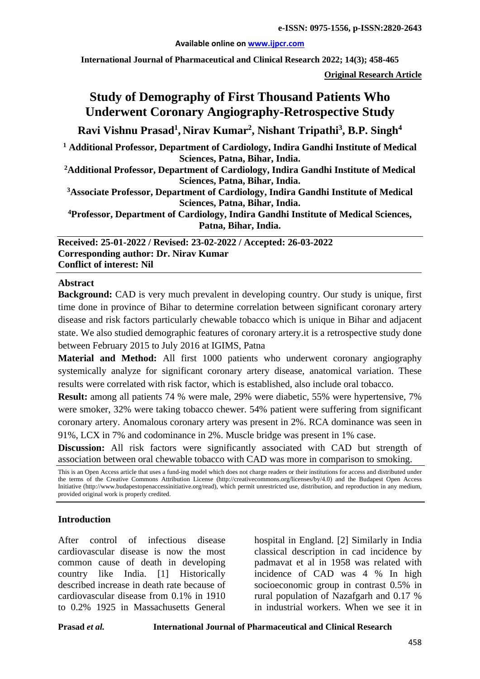#### **Available online on [www.ijpcr.com](http://www.ijpcr.com/)**

**International Journal of Pharmaceutical and Clinical Research 2022; 14(3); 458-465**

**Original Research Article**

# **Study of Demography of First Thousand Patients Who Underwent Coronary Angiography-Retrospective Study**

**Ravi Vishnu Prasad<sup>1</sup> , Nirav Kumar2 , Nishant Tripathi3 , B.P. Singh<sup>4</sup>**

**<sup>1</sup> Additional Professor, Department of Cardiology, Indira Gandhi Institute of Medical Sciences, Patna, Bihar, India.**

**2Additional Professor, Department of Cardiology, Indira Gandhi Institute of Medical Sciences, Patna, Bihar, India.**

**3Associate Professor, Department of Cardiology, Indira Gandhi Institute of Medical Sciences, Patna, Bihar, India.**

**4Professor, Department of Cardiology, Indira Gandhi Institute of Medical Sciences, Patna, Bihar, India.**

**Received: 25-01-2022 / Revised: 23-02-2022 / Accepted: 26-03-2022 Corresponding author: Dr. Nirav Kumar Conflict of interest: Nil**

#### **Abstract**

**Background:** CAD is very much prevalent in developing country. Our study is unique, first time done in province of Bihar to determine correlation between significant coronary artery disease and risk factors particularly chewable tobacco which is unique in Bihar and adjacent state. We also studied demographic features of coronary artery.it is a retrospective study done between February 2015 to July 2016 at IGIMS, Patna

**Material and Method:** All first 1000 patients who underwent coronary angiography systemically analyze for significant coronary artery disease, anatomical variation. These results were correlated with risk factor, which is established, also include oral tobacco.

**Result:** among all patients 74 % were male, 29% were diabetic, 55% were hypertensive, 7% were smoker, 32% were taking tobacco chewer. 54% patient were suffering from significant coronary artery. Anomalous coronary artery was present in 2%. RCA dominance was seen in 91%, LCX in 7% and codominance in 2%. Muscle bridge was present in 1% case.

**Discussion:** All risk factors were significantly associated with CAD but strength of association between oral chewable tobacco with CAD was more in comparison to smoking.

## **Introduction**

After control of infectious disease cardiovascular disease is now the most common cause of death in developing country like India. [1] Historically described increase in death rate because of cardiovascular disease from 0.1% in 1910 to 0.2% 1925 in Massachusetts General

hospital in England. [2] Similarly in India classical description in cad incidence by padmavat et al in 1958 was related with incidence of CAD was 4 % In high socioeconomic group in contrast 0.5% in rural population of Nazafgarh and 0.17 % in industrial workers. When we see it in

This is an Open Access article that uses a fund-ing model which does not charge readers or their institutions for access and distributed under the terms of the Creative Commons Attribution License (http://creativecommons.org/licenses/by/4.0) and the Budapest Open Access Initiative (http://www.budapestopenaccessinitiative.org/read), which permit unrestricted use, distribution, and reproduction in any medium, provided original work is properly credited.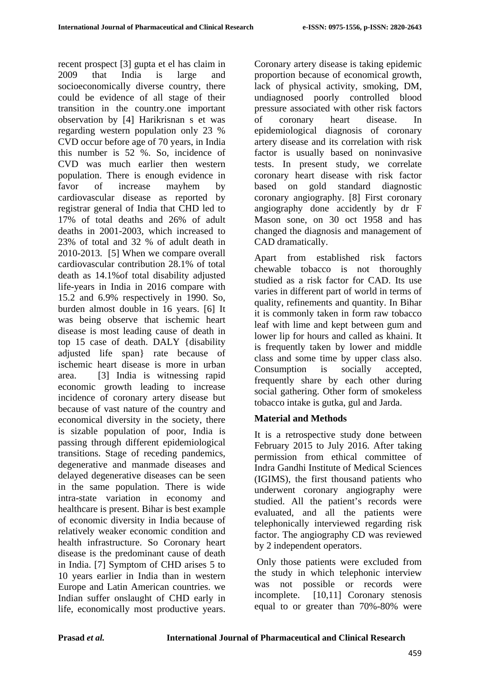recent prospect [3] gupta et el has claim in 2009 that India is large and socioeconomically diverse country, there could be evidence of all stage of their transition in the country.one important observation by [4] Harikrisnan s et was regarding western population only 23 % CVD occur before age of 70 years, in India this number is 52 %. So, incidence of CVD was much earlier then western population. There is enough evidence in favor of increase mayhem by cardiovascular disease as reported by registrar general of India that CHD led to 17% of total deaths and 26% of adult deaths in 2001-2003, which increased to 23% of total and 32 % of adult death in 2010-2013. [5] When we compare overall cardiovascular contribution 28.1% of total death as 14.1%of total disability adjusted life-years in India in 2016 compare with 15.2 and 6.9% respectively in 1990. So, burden almost double in 16 years. [6] It was being observe that ischemic heart disease is most leading cause of death in top 15 case of death. DALY {disability adjusted life span} rate because of ischemic heart disease is more in urban area. [3] India is witnessing rapid economic growth leading to increase incidence of coronary artery disease but because of vast nature of the country and economical diversity in the society, there is sizable population of poor, India is passing through different epidemiological transitions. Stage of receding pandemics, degenerative and manmade diseases and delayed degenerative diseases can be seen in the same population. There is wide intra-state variation in economy and healthcare is present. Bihar is best example of economic diversity in India because of relatively weaker economic condition and health infrastructure. So Coronary heart disease is the predominant cause of death in India. [7] Symptom of CHD arises 5 to 10 years earlier in India than in western Europe and Latin American countries. we Indian suffer onslaught of CHD early in life, economically most productive years.

Coronary artery disease is taking epidemic proportion because of economical growth, lack of physical activity, smoking, DM, undiagnosed poorly controlled blood pressure associated with other risk factors of coronary heart disease. In epidemiological diagnosis of coronary artery disease and its correlation with risk factor is usually based on noninvasive tests. In present study, we correlate coronary heart disease with risk factor based on gold standard diagnostic coronary angiography. [8] First coronary angiography done accidently by dr F Mason sone, on 30 oct 1958 and has changed the diagnosis and management of CAD dramatically.

Apart from established risk factors chewable tobacco is not thoroughly studied as a risk factor for CAD. Its use varies in different part of world in terms of quality, refinements and quantity. In Bihar it is commonly taken in form raw tobacco leaf with lime and kept between gum and lower lip for hours and called as khaini. It is frequently taken by lower and middle class and some time by upper class also. Consumption is socially accepted, frequently share by each other during social gathering. Other form of smokeless tobacco intake is gutka, gul and Jarda.

# **Material and Methods**

It is a retrospective study done between February 2015 to July 2016. After taking permission from ethical committee of Indra Gandhi Institute of Medical Sciences (IGIMS), the first thousand patients who underwent coronary angiography were studied. All the patient's records were evaluated, and all the patients were telephonically interviewed regarding risk factor. The angiography CD was reviewed by 2 independent operators.

Only those patients were excluded from the study in which telephonic interview was not possible or records were incomplete. [10,11] Coronary stenosis equal to or greater than 70%-80% were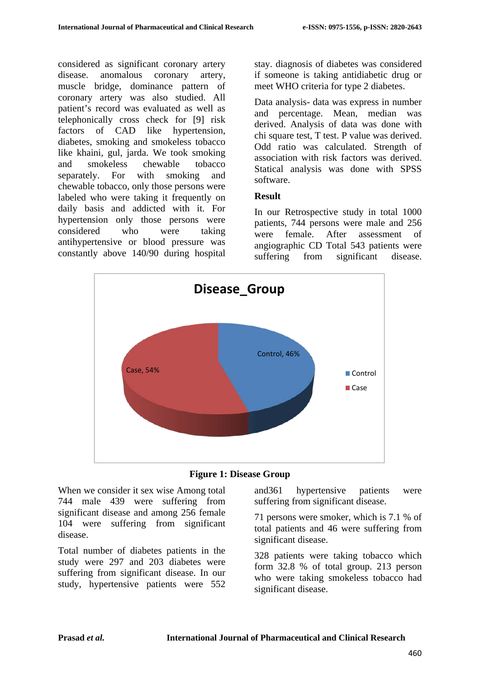considered as significant coronary artery disease. anomalous coronary artery, muscle bridge, dominance pattern of coronary artery was also studied. All patient's record was evaluated as well as telephonically cross check for [9] risk factors of CAD like hypertension, diabetes, smoking and smokeless tobacco like khaini, gul, jarda. We took smoking and smokeless chewable tobacco separately. For with smoking and chewable tobacco, only those persons were labeled who were taking it frequently on daily basis and addicted with it. For hypertension only those persons were considered who were taking antihypertensive or blood pressure was constantly above 140/90 during hospital

stay. diagnosis of diabetes was considered if someone is taking antidiabetic drug or meet WHO criteria for type 2 diabetes.

Data analysis- data was express in number and percentage. Mean, median was derived. Analysis of data was done with chi square test, T test. P value was derived. Odd ratio was calculated. Strength of association with risk factors was derived. Statical analysis was done with SPSS software.

## **Result**

In our Retrospective study in total 1000 patients, 744 persons were male and 256 were female. After assessment of angiographic CD Total 543 patients were suffering from significant disease.





When we consider it sex wise Among total 744 male 439 were suffering from significant disease and among 256 female 104 were suffering from significant disease.

Total number of diabetes patients in the study were 297 and 203 diabetes were suffering from significant disease. In our study, hypertensive patients were 552 and361 hypertensive patients were suffering from significant disease.

71 persons were smoker, which is 7.1 % of total patients and 46 were suffering from significant disease.

328 patients were taking tobacco which form 32.8 % of total group. 213 person who were taking smokeless tobacco had significant disease.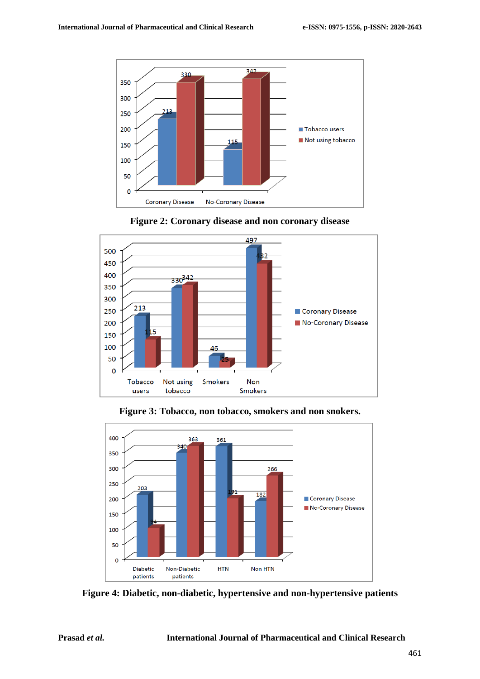





**Figure 3: Tobacco, non tobacco, smokers and non snokers.**



**Figure 4: Diabetic, non-diabetic, hypertensive and non-hypertensive patients**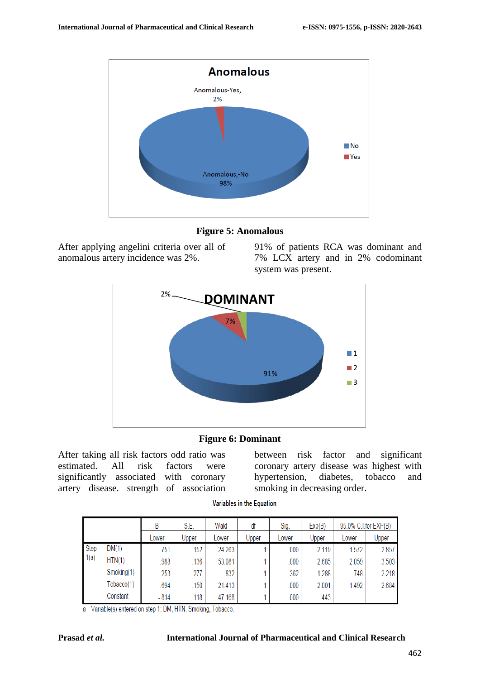

**Figure 5: Anomalous**

After applying angelini criteria over all of anomalous artery incidence was 2%.

91% of patients RCA was dominant and 7% LCX artery and in 2% codominant system was present.



## **Figure 6: Dominant**

After taking all risk factors odd ratio was estimated. All risk factors were significantly associated with coronary artery disease. strength of association

between risk factor and significant coronary artery disease was highest with<br>hypertension, diabetes, tobacco and diabetes, tobacco and smoking in decreasing order.

Variables in the Equation

|              |            | B        | S.E.  | Wald   | df    | Sig.  | Exp(B) | 95.0% C.I.for EXP(B) |       |
|--------------|------------|----------|-------|--------|-------|-------|--------|----------------------|-------|
|              |            | Lower    | Upper | Lower  | Upper | Lower | Upper  | Lower                | Upper |
| Step<br>1(a) | DM(1)      | .751     | .152  | 24.263 |       | .000  | 2.119  | 1.572                | 2.857 |
|              | HTN(1)     | .988     | .136  | 53.081 |       | .000  | 2.685  | 2.059                | 3.503 |
|              | Smoking(1) | 253      | .277  | .832   |       | .362  | 1.288  | .748                 | 2.218 |
|              | Tobacco(1) | .694     | .150  | 21.413 |       | .000  | 2.001  | 1.492                | 2.684 |
|              | Constant   | $-0.814$ | .118  | 47.168 |       | .000  | .443   |                      |       |

a Variable(s) entered on step 1: DM, HTN, Smoking, Tobacco.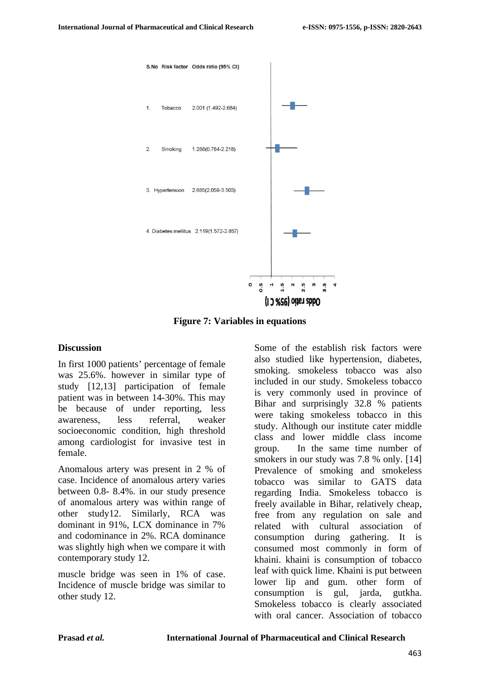

**Figure 7: Variables in equations** 

#### **Discussion**

In first 1000 patients' percentage of female was 25.6%. however in similar type of study [12,13] participation of female patient was in between 14-30%. This may be because of under reporting, less awareness, less referral, weaker socioeconomic condition, high threshold among cardiologist for invasive test in female.

Anomalous artery was present in 2 % of case. Incidence of anomalous artery varies between 0.8- 8.4%. in our study presence of anomalous artery was within range of other study12. Similarly, RCA was dominant in 91%, LCX dominance in 7% and codominance in 2%. RCA dominance was slightly high when we compare it with contemporary study 12.

muscle bridge was seen in 1% of case. Incidence of muscle bridge was similar to other study 12.

Some of the establish risk factors were also studied like hypertension, diabetes, smoking. smokeless tobacco was also included in our study. Smokeless tobacco is very commonly used in province of Bihar and surprisingly 32.8 % patients were taking smokeless tobacco in this study. Although our institute cater middle class and lower middle class income group. In the same time number of smokers in our study was 7.8 % only. [14] Prevalence of smoking and smokeless tobacco was similar to GATS data regarding India. Smokeless tobacco is freely available in Bihar, relatively cheap, free from any regulation on sale and related with cultural association of consumption during gathering. It is consumed most commonly in form of khaini. khaini is consumption of tobacco leaf with quick lime. Khaini is put between lower lip and gum. other form of consumption is gul, jarda, gutkha. Smokeless tobacco is clearly associated with oral cancer. Association of tobacco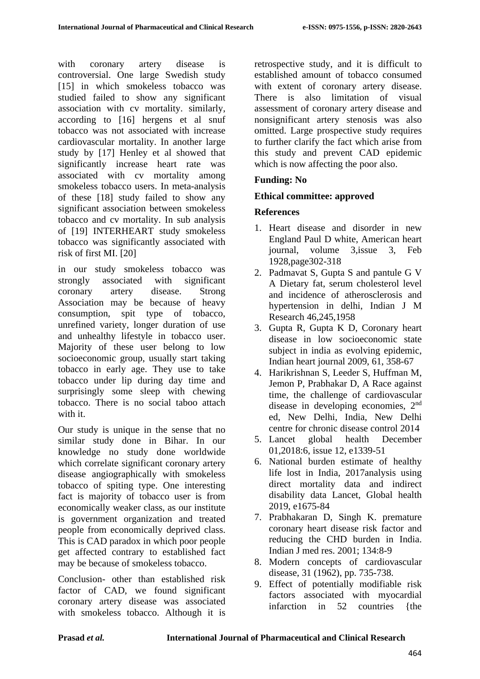with coronary artery disease is controversial. One large Swedish study [15] in which smokeless tobacco was studied failed to show any significant association with cv mortality. similarly, according to [16] hergens et al snuf tobacco was not associated with increase cardiovascular mortality. In another large study by [17] Henley et al showed that significantly increase heart rate was associated with cv mortality among smokeless tobacco users. In meta-analysis of these [18] study failed to show any significant association between smokeless tobacco and cv mortality. In sub analysis of [19] INTERHEART study smokeless tobacco was significantly associated with risk of first MI. [20]

in our study smokeless tobacco was strongly associated with significant coronary artery disease. Strong Association may be because of heavy consumption, spit type of tobacco, unrefined variety, longer duration of use and unhealthy lifestyle in tobacco user. Majority of these user belong to low socioeconomic group, usually start taking tobacco in early age. They use to take tobacco under lip during day time and surprisingly some sleep with chewing tobacco. There is no social taboo attach with it.

Our study is unique in the sense that no similar study done in Bihar. In our knowledge no study done worldwide which correlate significant coronary artery disease angiographically with smokeless tobacco of spiting type. One interesting fact is majority of tobacco user is from economically weaker class, as our institute is government organization and treated people from economically deprived class. This is CAD paradox in which poor people get affected contrary to established fact may be because of smokeless tobacco.

Conclusion- other than established risk factor of CAD, we found significant coronary artery disease was associated with smokeless tobacco. Although it is retrospective study, and it is difficult to established amount of tobacco consumed with extent of coronary artery disease. There is also limitation of visual assessment of coronary artery disease and nonsignificant artery stenosis was also omitted. Large prospective study requires to further clarify the fact which arise from this study and prevent CAD epidemic which is now affecting the poor also.

# **Funding: No**

## **Ethical committee: approved**

## **References**

- 1. Heart disease and disorder in new England Paul D white, American heart journal, volume 3,issue 3, Feb 1928,page302-318
- 2. Padmavat S, Gupta S and pantule G V A Dietary fat, serum cholesterol level and incidence of atherosclerosis and hypertension in delhi, Indian J M Research 46,245,1958
- 3. Gupta R, Gupta K D, Coronary heart disease in low socioeconomic state subject in india as evolving epidemic. Indian heart journal 2009, 61, 358-67
- 4. Harikrishnan S, Leeder S, Huffman M, Jemon P, Prabhakar D, A Race against time, the challenge of cardiovascular disease in developing economies, 2nd ed, New Delhi, India, New Delhi centre for chronic disease control 2014
- 5. Lancet global health December 01,2018:6, issue 12, e1339-51
- 6. National burden estimate of healthy life lost in India, 2017analysis using direct mortality data and indirect disability data Lancet, Global health 2019, e1675-84
- 7. Prabhakaran D, Singh K. premature coronary heart disease risk factor and reducing the CHD burden in India. Indian J med res. 2001; 134:8-9
- 8. Modern concepts of cardiovascular disease, 31 (1962), pp. 735-738.
- 9. Effect of potentially modifiable risk factors associated with myocardial infarction in 52 countries {the